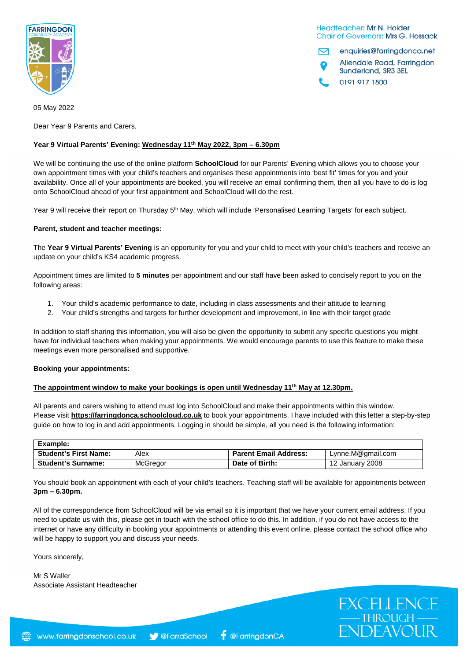

Headteacher: Mr N. Holder **Chair of Governors: Mrs G. Hossack** 

enquiries@farringdonca.net 罓 Allendale Road, Farringdon Sunderland, SR3 3EL 0191 917 1500

EXCELLENCE<br>
THROUGH<br>
ENDEAVOUR

05 May 2022

Dear Year 9 Parents and Carers,

# **Year 9 Virtual Parents' Evening: Wednesday 11th May 2022, 3pm – 6.30pm**

We will be continuing the use of the online platform **SchoolCloud** for our Parents' Evening which allows you to choose your own appointment times with your child's teachers and organises these appointments into 'best fit' times for you and your availability. Once all of your appointments are booked, you will receive an email confirming them, then all you have to do is log onto SchoolCloud ahead of your first appointment and SchoolCloud will do the rest.

Year 9 will receive their report on Thursday 5<sup>th</sup> May, which will include 'Personalised Learning Targets' for each subject.

# **Parent, student and teacher meetings:**

The **Year 9 Virtual Parents' Evening** is an opportunity for you and your child to meet with your child's teachers and receive an update on your child's KS4 academic progress.

Appointment times are limited to **5 minutes** per appointment and our staff have been asked to concisely report to you on the following areas:

- 1. Your child's academic performance to date, including in class assessments and their attitude to learning
- 2. Your child's strengths and targets for further development and improvement, in line with their target grade

In addition to staff sharing this information, you will also be given the opportunity to submit any specific questions you might have for individual teachers when making your appointments. We would encourage parents to use this feature to make these meetings even more personalised and supportive.

#### **Booking your appointments:**

# **The appointment window to make your bookings is open until Wednesday 11th May at 12.30pm.**

All parents and carers wishing to attend must log into SchoolCloud and make their appointments within this window. Please visit **https://farringdonca.schoolcloud.co.uk** to book your appointments. I have included with this letter a step-by-step guide on how to log in and add appointments. Logging in should be simple, all you need is the following information:

| Example:                     |          |                              |                   |
|------------------------------|----------|------------------------------|-------------------|
| <b>Student's First Name:</b> | Alex     | <b>Parent Email Address:</b> | Lynne.M@gmail.com |
| <b>Student's Surname:</b>    | McGregor | Date of Birth:               | 12 January 2008   |

You should book an appointment with each of your child's teachers. Teaching staff will be available for appointments between **3pm – 6.30pm.**

All of the correspondence from SchoolCloud will be via email so it is important that we have your current email address. If you need to update us with this, please get in touch with the school office to do this. In addition, if you do not have access to the internet or have any difficulty in booking your appointments or attending this event online, please contact the school office who will be happy to support you and discuss your needs.

Yours sincerely,

Mr S Waller Associate Assistant Headteacher